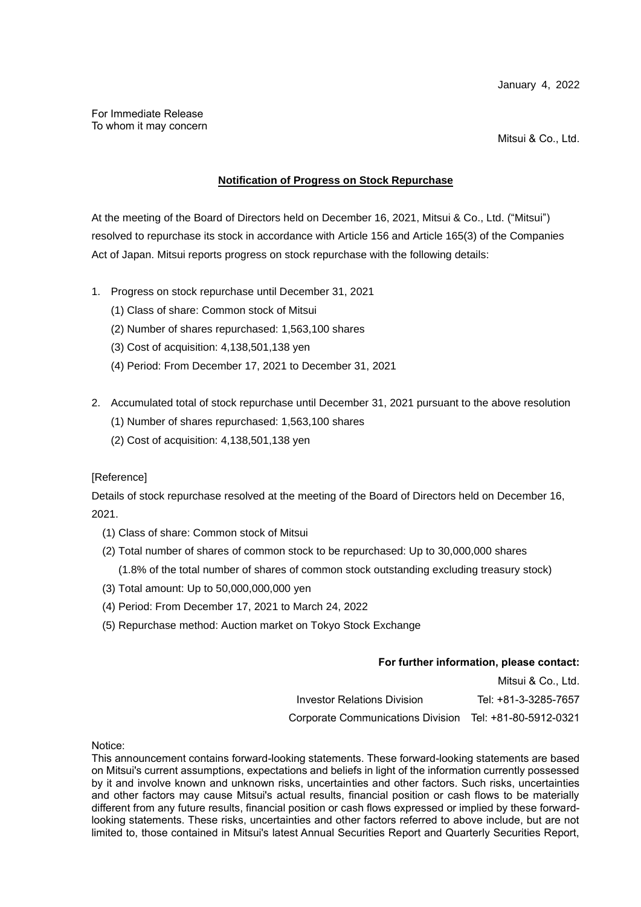Mitsui & Co., Ltd.

## **Notification of Progress on Stock Repurchase**

At the meeting of the Board of Directors held on December 16, 2021, Mitsui & Co., Ltd. ("Mitsui") resolved to repurchase its stock in accordance with Article 156 and Article 165(3) of the Companies Act of Japan. Mitsui reports progress on stock repurchase with the following details:

- 1. Progress on stock repurchase until December 31, 2021
	- (1) Class of share: Common stock of Mitsui
	- (2) Number of shares repurchased: 1,563,100 shares
	- (3) Cost of acquisition: 4,138,501,138 yen
	- (4) Period: From December 17, 2021 to December 31, 2021
- 2. Accumulated total of stock repurchase until December 31, 2021 pursuant to the above resolution
	- (1) Number of shares repurchased: 1,563,100 shares
	- (2) Cost of acquisition: 4,138,501,138 yen

## [Reference]

Details of stock repurchase resolved at the meeting of the Board of Directors held on December 16, 2021.

- (1) Class of share: Common stock of Mitsui
- (2) Total number of shares of common stock to be repurchased: Up to 30,000,000 shares (1.8% of the total number of shares of common stock outstanding excluding treasury stock)
- (3) Total amount: Up to 50,000,000,000 yen
- (4) Period: From December 17, 2021 to March 24, 2022
- (5) Repurchase method: Auction market on Tokyo Stock Exchange

## **For further information, please contact:**

Mitsui & Co., Ltd. Investor Relations Division Tel: +81-3-3285-7657 Corporate Communications Division Tel: +81-80-5912-0321

Notice:

This announcement contains forward-looking statements. These forward-looking statements are based on Mitsui's current assumptions, expectations and beliefs in light of the information currently possessed by it and involve known and unknown risks, uncertainties and other factors. Such risks, uncertainties and other factors may cause Mitsui's actual results, financial position or cash flows to be materially different from any future results, financial position or cash flows expressed or implied by these forwardlooking statements. These risks, uncertainties and other factors referred to above include, but are not limited to, those contained in Mitsui's latest Annual Securities Report and Quarterly Securities Report,